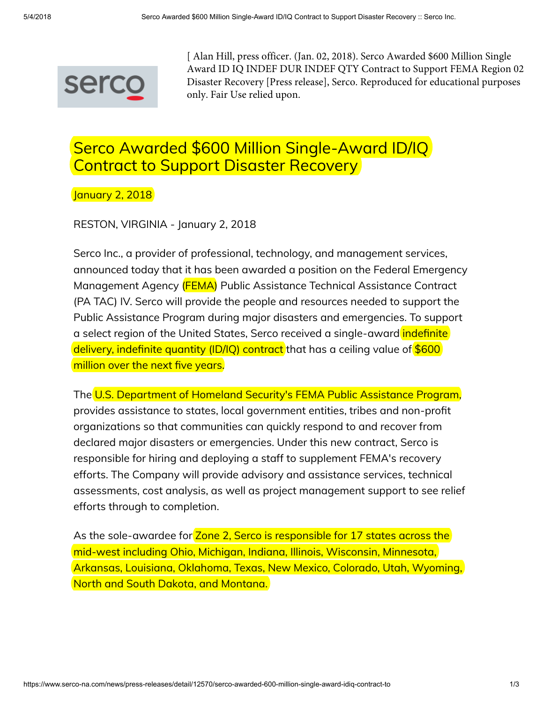

[ Alan Hill, press officer. (Jan. 02, 2018). Serco Awarded \$600 Million Single Award ID IQ INDEF DUR INDEF QTY Contract to Support FEMA Region 02 Disaster Recovery [Press release], Serco. Reproduced for educational purposes only. Fair Use relied upon.

## Serco Awarded \$600 Million Single-Award ID/IQ Contract to Support Disaster Recovery

January 2, 2018

RESTON, VIRGINIA - January 2, 2018

Serco Inc., a provider of professional, technology, and management services, announced today that it has been awarded a position on the Federal Emergency Management Agency (FEMA) Public Assistance Technical Assistance Contract (PA TAC) IV. Serco will provide the people and resources needed to support the Public Assistance Program during major disasters and emergencies. To support a select region of the United States, Serco received a single-award indefinite delivery, indefinite quantity (ID/IQ) contract that has a ceiling value of  $$600$ million over the next five years.

The U.S. Department of Homeland Security's FEMA Public Assistance Program, provides assistance to states, local government entities, tribes and non-profit organizations so that communities can quickly respond to and recover from declared major disasters or emergencies. Under this new contract, Serco is responsible for hiring and deploying a staff to supplement FEMA's recovery efforts. The Company will provide advisory and assistance services, technical assessments, cost analysis, as well as project management support to see relief efforts through to completion.

As the sole-awardee for Zone 2, Serco is responsible for 17 states across the mid-west including Ohio, Michigan, Indiana, Illinois, Wisconsin, Minnesota, Arkansas, Louisiana, Oklahoma, Texas, New Mexico, Colorado, Utah, Wyoming, North and South Dakota, and Montana.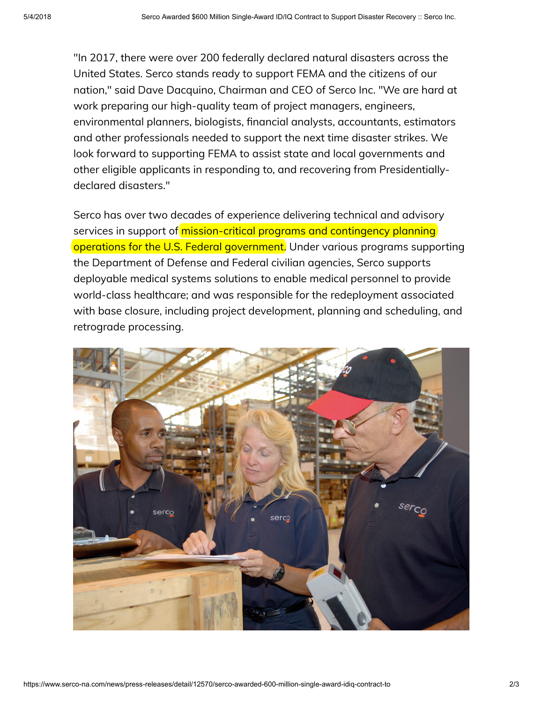"In 2017, there were over 200 federally declared natural disasters across the United States. Serco stands ready to support FEMA and the citizens of our nation," said Dave Dacquino, Chairman and CEO of Serco Inc. "We are hard at work preparing our high-quality team of project managers, engineers, environmental planners, biologists, financial analysts, accountants, estimators and other professionals needed to support the next time disaster strikes. We look forward to supporting FEMA to assist state and local governments and other eligible applicants in responding to, and recovering from Presidentiallydeclared disasters."

Serco has over two decades of experience delivering technical and advisory services in support of mission-critical programs and contingency planning operations for the U.S. Federal government. Under various programs supporting the Department of Defense and Federal civilian agencies, Serco supports deployable medical systems solutions to enable medical personnel to provide world-class healthcare; and was responsible for the redeployment associated with base closure, including project development, planning and scheduling, and retrograde processing.